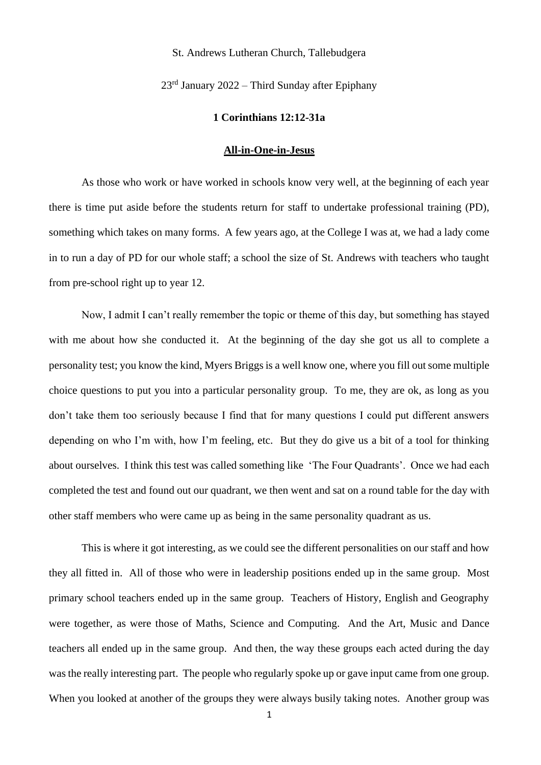## St. Andrews Lutheran Church, Tallebudgera

 $23<sup>rd</sup>$  January 2022 – Third Sunday after Epiphany

## **1 Corinthians 12:12-31a**

## **All-in-One-in-Jesus**

As those who work or have worked in schools know very well, at the beginning of each year there is time put aside before the students return for staff to undertake professional training (PD), something which takes on many forms. A few years ago, at the College I was at, we had a lady come in to run a day of PD for our whole staff; a school the size of St. Andrews with teachers who taught from pre-school right up to year 12.

Now, I admit I can't really remember the topic or theme of this day, but something has stayed with me about how she conducted it. At the beginning of the day she got us all to complete a personality test; you know the kind, Myers Briggs is a well know one, where you fill out some multiple choice questions to put you into a particular personality group. To me, they are ok, as long as you don't take them too seriously because I find that for many questions I could put different answers depending on who I'm with, how I'm feeling, etc. But they do give us a bit of a tool for thinking about ourselves. I think this test was called something like 'The Four Quadrants'. Once we had each completed the test and found out our quadrant, we then went and sat on a round table for the day with other staff members who were came up as being in the same personality quadrant as us.

This is where it got interesting, as we could see the different personalities on our staff and how they all fitted in. All of those who were in leadership positions ended up in the same group. Most primary school teachers ended up in the same group. Teachers of History, English and Geography were together, as were those of Maths, Science and Computing. And the Art, Music and Dance teachers all ended up in the same group. And then, the way these groups each acted during the day was the really interesting part. The people who regularly spoke up or gave input came from one group. When you looked at another of the groups they were always busily taking notes. Another group was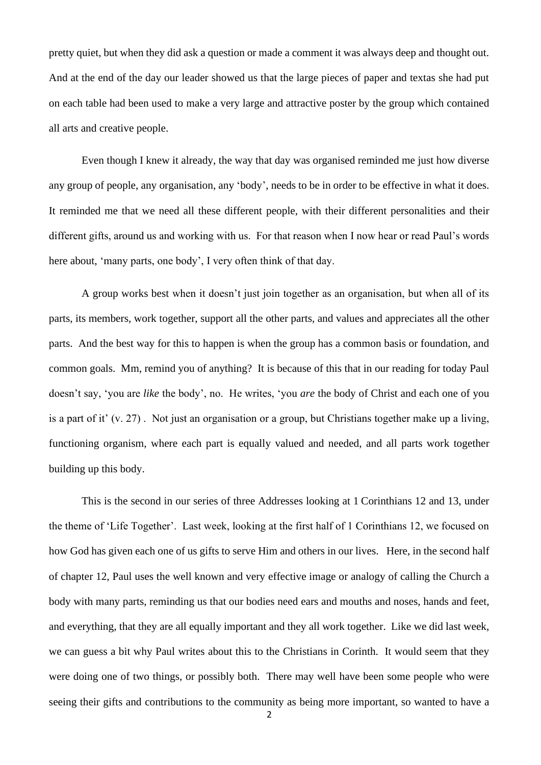pretty quiet, but when they did ask a question or made a comment it was always deep and thought out. And at the end of the day our leader showed us that the large pieces of paper and textas she had put on each table had been used to make a very large and attractive poster by the group which contained all arts and creative people.

Even though I knew it already, the way that day was organised reminded me just how diverse any group of people, any organisation, any 'body', needs to be in order to be effective in what it does. It reminded me that we need all these different people, with their different personalities and their different gifts, around us and working with us. For that reason when I now hear or read Paul's words here about, 'many parts, one body', I very often think of that day.

A group works best when it doesn't just join together as an organisation, but when all of its parts, its members, work together, support all the other parts, and values and appreciates all the other parts. And the best way for this to happen is when the group has a common basis or foundation, and common goals. Mm, remind you of anything? It is because of this that in our reading for today Paul doesn't say, 'you are *like* the body', no. He writes, 'you *are* the body of Christ and each one of you is a part of it' (v. 27) . Not just an organisation or a group, but Christians together make up a living, functioning organism, where each part is equally valued and needed, and all parts work together building up this body.

This is the second in our series of three Addresses looking at 1 Corinthians 12 and 13, under the theme of 'Life Together'. Last week, looking at the first half of 1 Corinthians 12, we focused on how God has given each one of us gifts to serve Him and others in our lives. Here, in the second half of chapter 12, Paul uses the well known and very effective image or analogy of calling the Church a body with many parts, reminding us that our bodies need ears and mouths and noses, hands and feet, and everything, that they are all equally important and they all work together. Like we did last week, we can guess a bit why Paul writes about this to the Christians in Corinth. It would seem that they were doing one of two things, or possibly both. There may well have been some people who were seeing their gifts and contributions to the community as being more important, so wanted to have a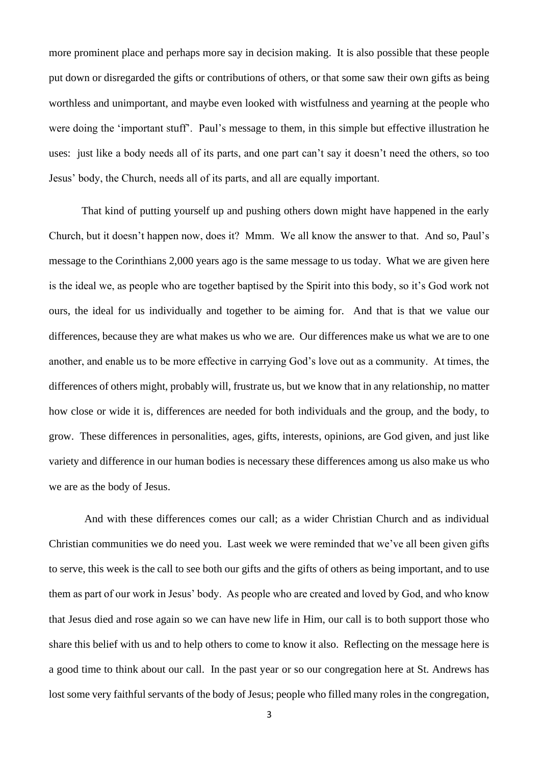more prominent place and perhaps more say in decision making. It is also possible that these people put down or disregarded the gifts or contributions of others, or that some saw their own gifts as being worthless and unimportant, and maybe even looked with wistfulness and yearning at the people who were doing the 'important stuff'. Paul's message to them, in this simple but effective illustration he uses: just like a body needs all of its parts, and one part can't say it doesn't need the others, so too Jesus' body, the Church, needs all of its parts, and all are equally important.

That kind of putting yourself up and pushing others down might have happened in the early Church, but it doesn't happen now, does it? Mmm. We all know the answer to that. And so, Paul's message to the Corinthians 2,000 years ago is the same message to us today. What we are given here is the ideal we, as people who are together baptised by the Spirit into this body, so it's God work not ours, the ideal for us individually and together to be aiming for. And that is that we value our differences, because they are what makes us who we are. Our differences make us what we are to one another, and enable us to be more effective in carrying God's love out as a community. At times, the differences of others might, probably will, frustrate us, but we know that in any relationship, no matter how close or wide it is, differences are needed for both individuals and the group, and the body, to grow. These differences in personalities, ages, gifts, interests, opinions, are God given, and just like variety and difference in our human bodies is necessary these differences among us also make us who we are as the body of Jesus.

And with these differences comes our call; as a wider Christian Church and as individual Christian communities we do need you. Last week we were reminded that we've all been given gifts to serve, this week is the call to see both our gifts and the gifts of others as being important, and to use them as part of our work in Jesus' body. As people who are created and loved by God, and who know that Jesus died and rose again so we can have new life in Him, our call is to both support those who share this belief with us and to help others to come to know it also. Reflecting on the message here is a good time to think about our call. In the past year or so our congregation here at St. Andrews has lost some very faithful servants of the body of Jesus; people who filled many roles in the congregation,